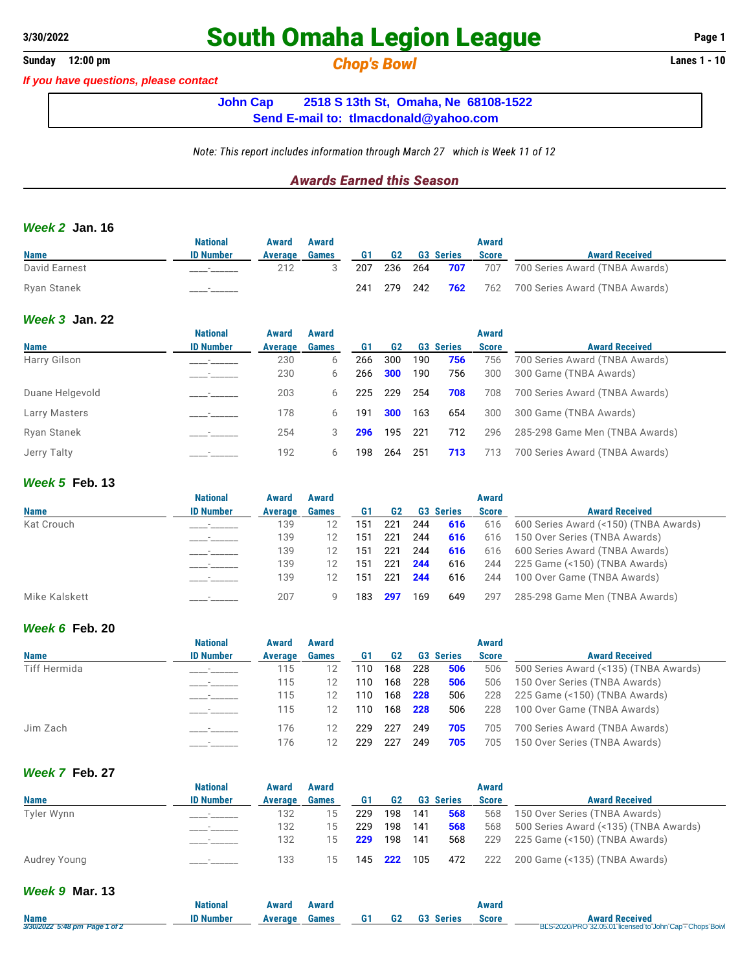# **South Omaha Legion League Page 1**

**Sunday 12:00 pm** *Chop's Bowl* **Lanes 1 - 10**

*If you have questions, please contact*

**John Cap 2518 S 13th St, Omaha, Ne 68108-1522 Send E-mail to: [tlmacdonald@yahoo.com](mailto:tlmacdonald@yahoo.com)**

*Note: This report includes information through March 27 which is Week 11 of 12*

## *Awards Earned this Season*

### *Week 2* **Jan. 16**

|               | National                 | Award   | Award        |     |         |                    | Award        |                                    |
|---------------|--------------------------|---------|--------------|-----|---------|--------------------|--------------|------------------------------------|
| <b>Name</b>   | <b>ID Number</b>         | Average | <b>Games</b> | G1  | G2      | <b>G3 Series</b>   | <b>Score</b> | <b>Award Received</b>              |
| David Earnest | $\overline{\phantom{a}}$ | 212     |              | 207 |         | 236 264 <b>707</b> |              | 707 700 Series Award (TNBA Awards) |
| Ryan Stanek   |                          |         |              | 241 | 279 242 | 762                |              | 762 700 Series Award (TNBA Awards) |

## *Week 3* **Jan. 22**

|                 | <b>National</b>  | Award   | Award        |     |                |      |                  | Award        |                                |
|-----------------|------------------|---------|--------------|-----|----------------|------|------------------|--------------|--------------------------------|
| <b>Name</b>     | <b>ID Number</b> | Average | <b>Games</b> | G1  | G <sub>2</sub> |      | <b>G3 Series</b> | <b>Score</b> | <b>Award Received</b>          |
| Harry Gilson    |                  | 230     | 6            | 266 | 300            | 190  | 756              | 756          | 700 Series Award (TNBA Awards) |
|                 | _______          | 230     | 6            | 266 | 300            | 190  | 756              | 300          | 300 Game (TNBA Awards)         |
| Duane Helgevold |                  | 203     | 6            | 225 | 229            | -254 | 708              | 708          | 700 Series Award (TNBA Awards) |
| Larry Masters   |                  | 178     | 6            | 191 | 300            | 163  | 654              | 300          | 300 Game (TNBA Awards)         |
| Ryan Stanek     |                  | 254     |              | 296 | 195            | -221 | 712              | 296          | 285-298 Game Men (TNBA Awards) |
| Jerry Talty     |                  | 192     | 6            | 198 | 264            | 251  | 713              | 713          | 700 Series Award (TNBA Awards) |

### *Week 5* **Feb. 13**

|               | <b>National</b>  | Award   | Award        |     |     |     |                  | Award        |                                       |
|---------------|------------------|---------|--------------|-----|-----|-----|------------------|--------------|---------------------------------------|
| <b>Name</b>   | <b>ID Number</b> | Average | <b>Games</b> |     | G2  |     | <b>G3 Series</b> | <b>Score</b> | <b>Award Received</b>                 |
| Kat Crouch    |                  | 139     |              | 151 | 221 | 244 | 616              | 616          | 600 Series Award (<150) (TNBA Awards) |
|               |                  | 139     |              | 151 | 221 | 244 | 616              | 616          | 150 Over Series (TNBA Awards)         |
|               |                  | 139     |              | 151 | 221 | 244 | 616              | 616          | 600 Series Award (TNBA Awards)        |
|               |                  | 139     | 12           | 151 | 221 | 244 | 616              | 244          | 225 Game (<150) (TNBA Awards)         |
|               |                  | 139     | 12           | 151 | 221 | 244 | 616              | 244          | 100 Over Game (TNBA Awards)           |
| Mike Kalskett |                  | 207     |              | 183 | 297 | 169 | 649              | 297          | 285-298 Game Men (TNBA Awards)        |

## *Week 6* **Feb. 20**

|              | <b>National</b>  | Award   | Award        |     |                |     |                  | Award        |                                       |
|--------------|------------------|---------|--------------|-----|----------------|-----|------------------|--------------|---------------------------------------|
| <b>Name</b>  | <b>ID Number</b> | Average | <b>Games</b> | G1  | G <sub>2</sub> |     | <b>G3 Series</b> | <b>Score</b> | <b>Award Received</b>                 |
| Tiff Hermida |                  | 115     |              | 110 | 168            | 228 | 506              | 506          | 500 Series Award (<135) (TNBA Awards) |
|              |                  | 115     |              | 110 | 168            | 228 | 506              | 506          | 150 Over Series (TNBA Awards)         |
|              |                  | 115     |              | 110 | 168            | 228 | 506              | 228          | 225 Game (<150) (TNBA Awards)         |
|              |                  | 115     | 12           | 110 | 168            | 228 | 506              | 228          | 100 Over Game (TNBA Awards)           |
| Jim Zach     |                  | 176     | 12           | 229 | 227            | 249 | 705              | 705          | 700 Series Award (TNBA Awards)        |
|              |                  | 176     |              | 229 | 227            | 249 | 705              | 705          | 150 Over Series (TNBA Awards)         |

## *Week 7* **Feb. 27**

|              | National                 | Award   | Award        |                    |                |       |                  | Award        |                                       |
|--------------|--------------------------|---------|--------------|--------------------|----------------|-------|------------------|--------------|---------------------------------------|
| <b>Name</b>  | <b>ID Number</b>         | Average | <b>Games</b> | G1                 | G <sub>2</sub> |       | <b>G3 Series</b> | <b>Score</b> | <b>Award Received</b>                 |
| Tyler Wynn   |                          | 132     | 15           | 229                | 198            | - 141 | 568              | 568          | 150 Over Series (TNBA Awards)         |
|              | $\overline{\phantom{a}}$ | 132     | 15           | 229                | 198            | 141   | 568              | 568          | 500 Series Award (<135) (TNBA Awards) |
|              |                          | 132     | 15           | 229                | 198            | -141  | 568              | 229          | 225 Game (<150) (TNBA Awards)         |
| Audrey Young |                          | 133     | 15           | 145 <b>222</b> 105 |                |       |                  | 472 222      | 200 Game (<135) (TNBA Awards)         |

## *Week 9* **Mar. 13**

|                                              | National  | Award   | Award        |    |    |                     | Award |                                                                                  |
|----------------------------------------------|-----------|---------|--------------|----|----|---------------------|-------|----------------------------------------------------------------------------------|
| <b>Name</b><br>3/30/2022 5:48 pm Page 1 of 2 | ID Number | Average | <b>Games</b> | G1 | G2 | G3<br><b>Series</b> | Score | <b>Award Received</b><br>BLS-2020/PRO 32.05.01 licensed to John Cap - Chops Bowl |